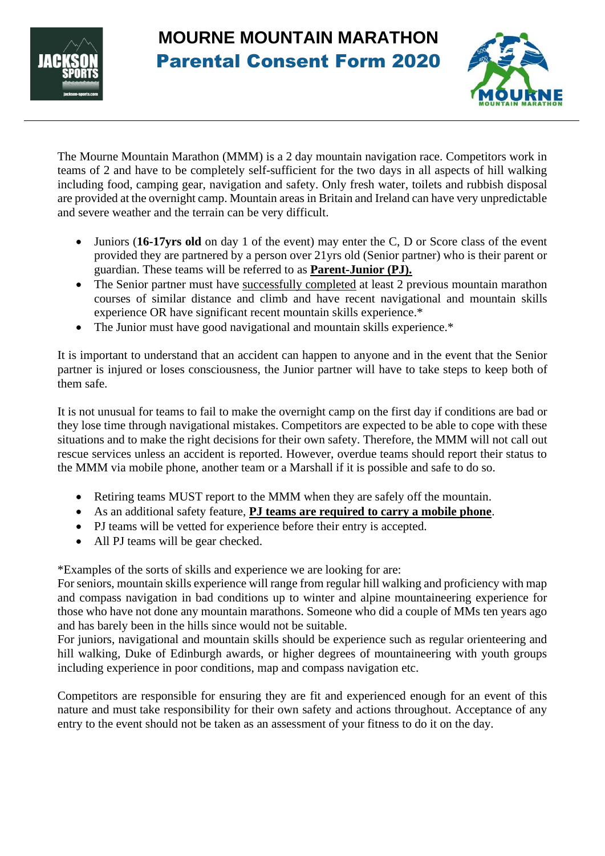

## **MOURNE MOUNTAIN MARATHON**  Parental Consent Form 2020



The Mourne Mountain Marathon (MMM) is a 2 day mountain navigation race. Competitors work in teams of 2 and have to be completely self-sufficient for the two days in all aspects of hill walking including food, camping gear, navigation and safety. Only fresh water, toilets and rubbish disposal are provided at the overnight camp. Mountain areas in Britain and Ireland can have very unpredictable and severe weather and the terrain can be very difficult.

- Juniors (**16-17yrs old** on day 1 of the event) may enter the C, D or Score class of the event provided they are partnered by a person over 21yrs old (Senior partner) who is their parent or guardian. These teams will be referred to as **Parent-Junior (PJ).**
- The Senior partner must have successfully completed at least 2 previous mountain marathon courses of similar distance and climb and have recent navigational and mountain skills experience OR have significant recent mountain skills experience.\*
- The Junior must have good navigational and mountain skills experience.\*

It is important to understand that an accident can happen to anyone and in the event that the Senior partner is injured or loses consciousness, the Junior partner will have to take steps to keep both of them safe.

It is not unusual for teams to fail to make the overnight camp on the first day if conditions are bad or they lose time through navigational mistakes. Competitors are expected to be able to cope with these situations and to make the right decisions for their own safety. Therefore, the MMM will not call out rescue services unless an accident is reported. However, overdue teams should report their status to the MMM via mobile phone, another team or a Marshall if it is possible and safe to do so.

- Retiring teams MUST report to the MMM when they are safely off the mountain.
- As an additional safety feature, **PJ teams are required to carry a mobile phone**.
- PJ teams will be vetted for experience before their entry is accepted.
- All PJ teams will be gear checked.

\*Examples of the sorts of skills and experience we are looking for are:

For seniors, mountain skills experience will range from regular hill walking and proficiency with map and compass navigation in bad conditions up to winter and alpine mountaineering experience for those who have not done any mountain marathons. Someone who did a couple of MMs ten years ago and has barely been in the hills since would not be suitable.

For juniors, navigational and mountain skills should be experience such as regular orienteering and hill walking, Duke of Edinburgh awards, or higher degrees of mountaineering with youth groups including experience in poor conditions, map and compass navigation etc.

Competitors are responsible for ensuring they are fit and experienced enough for an event of this nature and must take responsibility for their own safety and actions throughout. Acceptance of any entry to the event should not be taken as an assessment of your fitness to do it on the day.